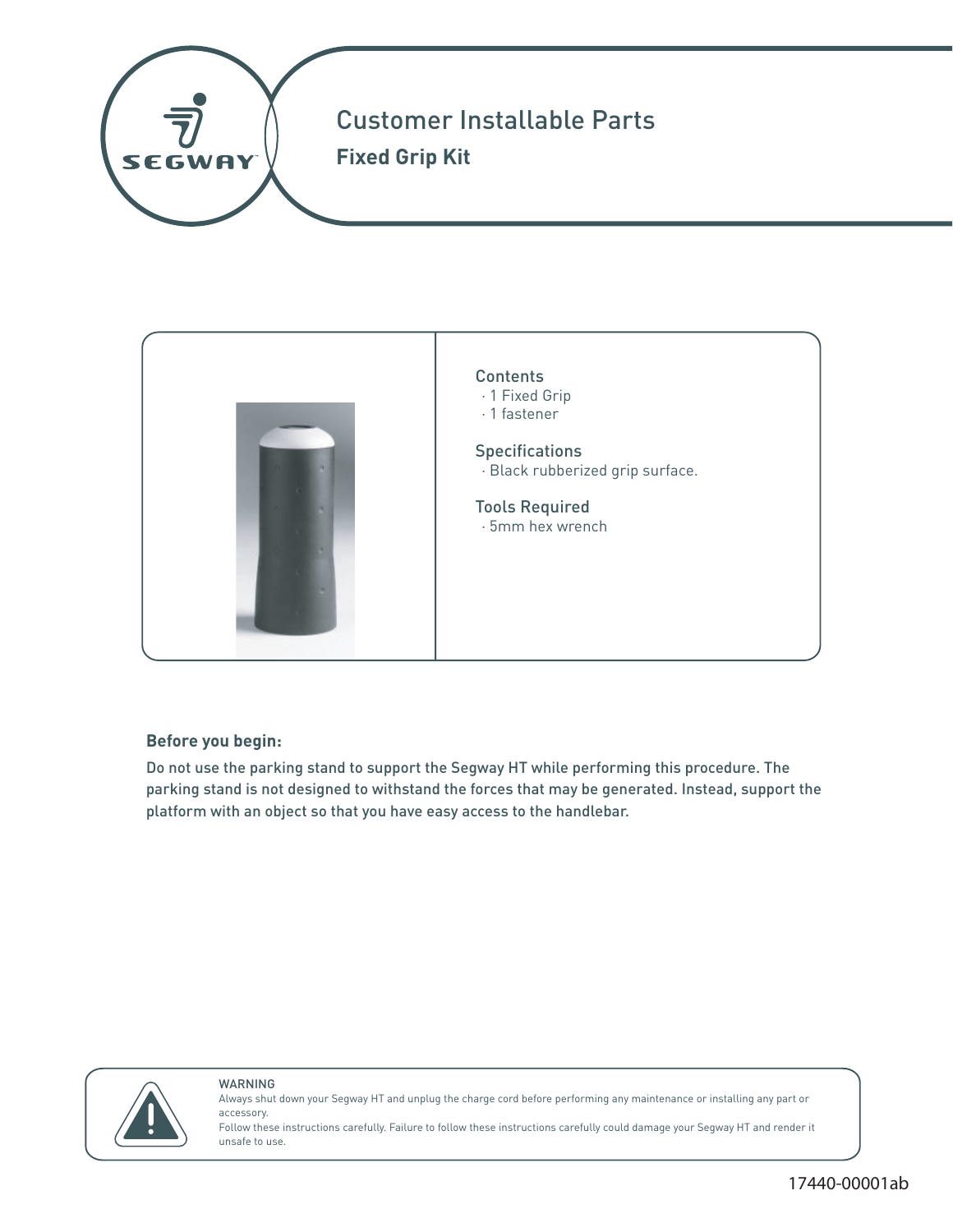



## **Before you begin:**

Do not use the parking stand to support the Segway HT while performing this procedure. The parking stand is not designed to withstand the forces that may be generated. Instead, support the platform with an object so that you have easy access to the handlebar.



### WARNING

Always shut down your Segway HT and unplug the charge cord before performing any maintenance or installing any part or accessory.

Follow these instructions carefully. Failure to follow these instructions carefully could damage your Segway HT and render it unsafe to use.